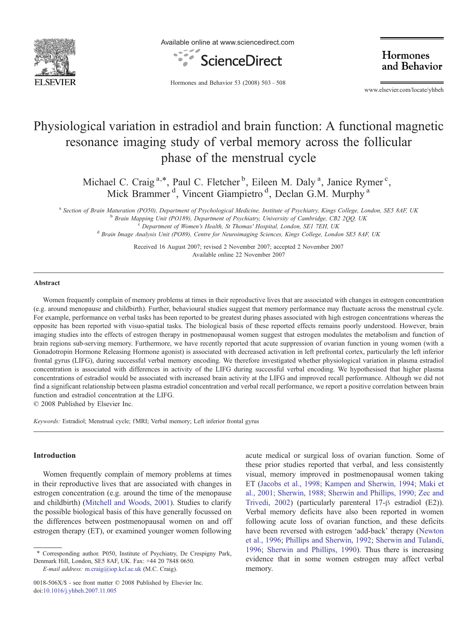

Available online at www.sciencedirect.com



Hormones and Behavior

Hormones and Behavior 53 (2008) 503–508

www.elsevier.com/locate/yhbeh

# Physiological variation in estradiol and brain function: A functional magnetic resonance imaging study of verbal memory across the follicular phase of the menstrual cycle

Michael C. Craig<sup>a,\*</sup>, Paul C. Fletcher<sup>b</sup>, Eileen M. Daly<sup>a</sup>, Janice Rymer<sup>c</sup>, Mick Brammer<sup>d</sup>, Vincent Giampietro<sup>d</sup>, Declan G.M. Murphy<sup>a</sup>

a Section of Brain Maturation (PO50), Department of Psychological Medicine, Institute of Psychiatry, Kings College, London, SE5 8AF, UK<br>Brain Mapping Unit (PO189), Department of Psychiatry, University of Cambridge, CB2 2QQ

Received 16 August 2007; revised 2 November 2007; accepted 2 November 2007 Available online 22 November 2007

## Abstract

Women frequently complain of memory problems at times in their reproductive lives that are associated with changes in estrogen concentration (e.g. around menopause and childbirth). Further, behavioural studies suggest that memory performance may fluctuate across the menstrual cycle. For example, performance on verbal tasks has been reported to be greatest during phases associated with high estrogen concentrations whereas the opposite has been reported with visuo-spatial tasks. The biological basis of these reported effects remains poorly understood. However, brain imaging studies into the effects of estrogen therapy in postmenopausal women suggest that estrogen modulates the metabolism and function of brain regions sub-serving memory. Furthermore, we have recently reported that acute suppression of ovarian function in young women (with a Gonadotropin Hormone Releasing Hormone agonist) is associated with decreased activation in left prefrontal cortex, particularly the left inferior frontal gyrus (LIFG), during successful verbal memory encoding. We therefore investigated whether physiological variation in plasma estradiol concentration is associated with differences in activity of the LIFG during successful verbal encoding. We hypothesised that higher plasma concentrations of estradiol would be associated with increased brain activity at the LIFG and improved recall performance. Although we did not find a significant relationship between plasma estradiol concentration and verbal recall performance, we report a positive correlation between brain function and estradiol concentration at the LIFG.

© 2008 Published by Elsevier Inc.

Keywords: Estradiol; Menstrual cycle; fMRI; Verbal memory; Left inferior frontal gyrus

## Introduction

Women frequently complain of memory problems at times in their reproductive lives that are associated with changes in estrogen concentration (e.g. around the time of the menopause and childbirth) [\(Mitchell and Woods, 2001\)](#page--1-0). Studies to clarify the possible biological basis of this have generally focussed on the differences between postmenopausal women on and off estrogen therapy (ET), or examined younger women following

E-mail address: [m.craig@iop.kcl.ac.uk](mailto:m.craig@iop.kcl.ac.uk) (M.C. Craig).

acute medical or surgical loss of ovarian function. Some of these prior studies reported that verbal, and less consistently visual, memory improved in postmenopausal women taking ET [\(Jacobs et al., 1998; Kampen and Sherwin, 1994; Maki et](#page--1-0) [al., 2001; Sherwin, 1988; Sherwin and Phillips, 1990; Zec and](#page--1-0) [Trivedi, 2002](#page--1-0)) (particularly parenteral 17-β estradiol (E2)). Verbal memory deficits have also been reported in women following acute loss of ovarian function, and these deficits have been reversed with estrogen 'add-back' therapy [\(Newton](#page--1-0) [et al., 1996](#page--1-0); [Phillips and Sherwin, 1992;](#page--1-0) [Sherwin and Tulandi,](#page--1-0) [1996](#page--1-0); [Sherwin and Phillips, 1990](#page--1-0)). Thus there is increasing evidence that in some women estrogen may affect verbal memory.

<sup>⁎</sup> Corresponding author. P050, Institute of Psychiatry, De Crespigny Park, Denmark Hill, London, SE5 8AF, UK. Fax: +44 20 7848 0650.

<sup>0018-506</sup>X/\$ - see front matter © 2008 Published by Elsevier Inc. doi:[10.1016/j.yhbeh.2007.11.005](http://dx.doi.org/10.1016/j.yhbeh.2007.11.005)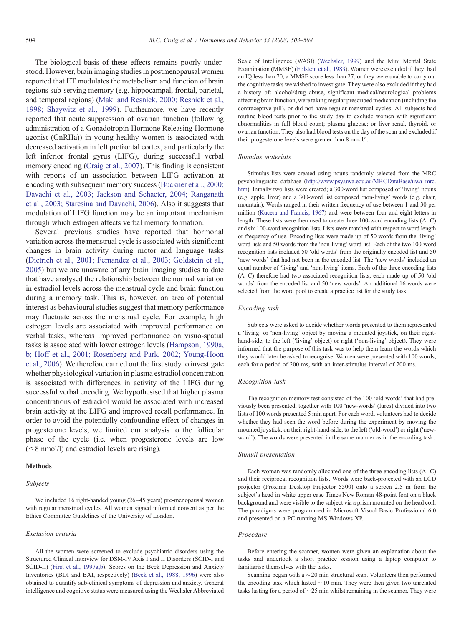The biological basis of these effects remains poorly understood. However, brain imaging studies in postmenopausal women reported that ET modulates the metabolism and function of brain regions sub-serving memory (e.g. hippocampal, frontal, parietal, and temporal regions) [\(Maki and Resnick, 2000; Resnick et al.,](#page--1-0) [1998; Shaywitz et al., 1999\)](#page--1-0). Furthermore, we have recently reported that acute suppression of ovarian function (following administration of a Gonadotropin Hormone Releasing Hormone agonist (GnRHa)) in young healthy women is associated with decreased activation in left prefrontal cortex, and particularly the left inferior frontal gyrus (LIFG), during successful verbal memory encoding [\(Craig et al., 2007](#page--1-0)). This finding is consistent with reports of an association between LIFG activation at encoding with subsequent memory success ([Buckner et al., 2000;](#page--1-0) [Davachi et al., 2003; Jackson and Schacter, 2004; Ranganath](#page--1-0) [et al., 2003; Staresina and Davachi, 2006](#page--1-0)). Also it suggests that modulation of LIFG function may be an important mechanism through which estrogen affects verbal memory formation.

Several previous studies have reported that hormonal variation across the menstrual cycle is associated with significant changes in brain activity during motor and language tasks ([Dietrich et al., 2001; Fernandez et al., 2003; Goldstein et al.,](#page--1-0) [2005](#page--1-0)) but we are unaware of any brain imaging studies to date that have analysed the relationship between the normal variation in estradiol levels across the menstrual cycle and brain function during a memory task. This is, however, an area of potential interest as behavioural studies suggest that memory performance may fluctuate across the menstrual cycle. For example, high estrogen levels are associated with improved performance on verbal tasks, whereas improved performance on visuo-spatial tasks is associated with lower estrogen levels ([Hampson, 1990a,](#page--1-0) [b; Hoff et al., 2001; Rosenberg and Park, 2002; Young-Hoon](#page--1-0) [et al., 2006](#page--1-0)). We therefore carried out the first study to investigate whether physiological variation in plasma estradiol concentration is associated with differences in activity of the LIFG during successful verbal encoding. We hypothesised that higher plasma concentrations of estradiol would be associated with increased brain activity at the LIFG and improved recall performance. In order to avoid the potentially confounding effect of changes in progesterone levels, we limited our analysis to the follicular phase of the cycle (i.e. when progesterone levels are low  $(\leq 8 \text{ nmol/l})$  and estradiol levels are rising).

### **Methods**

#### Subjects

We included 16 right-handed young (26–45 years) pre-menopausal women with regular menstrual cycles. All women signed informed consent as per the Ethics Committee Guidelines of the University of London.

#### Exclusion criteria

All the women were screened to exclude psychiatric disorders using the Structured Clinical Interview for DSM-IV Axis I and II Disorders (SCID-I and SCID-II) ([First et al., 1997a,b\)](#page--1-0). Scores on the Beck Depression and Anxiety Inventories (BDI and BAI, respectively) ([Beck et al., 1988, 1996](#page--1-0)) were also obtained to quantify sub-clinical symptoms of depression and anxiety. General intelligence and cognitive status were measured using the Wechsler Abbreviated Scale of Intelligence (WASI) [\(Wechsler, 1999\)](#page--1-0) and the Mini Mental State Examination (MMSE) [\(Folstein et al., 1983\)](#page--1-0). Women were excluded if they: had an IQ less than 70, a MMSE score less than 27, or they were unable to carry out the cognitive tasks we wished to investigate. They were also excluded if they had a history of: alcohol/drug abuse, significant medical/neurological problems affecting brain function, were taking regular prescribed medication (including the contraceptive pill), or did not have regular menstrual cycles. All subjects had routine blood tests prior to the study day to exclude women with significant abnormalities in full blood count; plasma glucose; or liver renal, thyroid, or ovarian function. They also had blood tests on the day of the scan and excluded if their progesterone levels were greater than 8 nmol/l.

#### Stimulus materials

Stimulus lists were created using nouns randomly selected from the MRC psycholinguistic database [\(http://www.psy.uwa.edu.au/MRCDataBase/uwa\\_mrc.](http://www.psy.uwa.edu.au/MRCDataBase/uwa_mrc.htm) [htm\)](http://www.psy.uwa.edu.au/MRCDataBase/uwa_mrc.htm). Initially two lists were created; a 300-word list composed of 'living' nouns (e.g. apple, liver) and a 300-word list composed 'non-living' words (e.g. chair, mountain). Words ranged in their written frequency of use between 1 and 30 per million [\(Kucera and Francis, 1967](#page--1-0)) and were between four and eight letters in length. These lists were then used to create three 100-word encoding lists (A–C) and six 100-word recognition lists. Lists were matched with respect to word length or frequency of use. Encoding lists were made up of 50 words from the 'living' word lists and 50 words from the 'non-living' word list. Each of the two 100-word recognition lists included 50 'old words' from the originally encoded list and 50 'new words' that had not been in the encoded list. The 'new words' included an equal number of 'living' and 'non-living' items. Each of the three encoding lists (A–C) therefore had two associated recognition lists, each made up of 50 'old words' from the encoded list and 50 'new words'. An additional 16 words were selected from the word pool to create a practice list for the study task.

#### Encoding task

Subjects were asked to decide whether words presented to them represented a 'living' or 'non-living' object by moving a mounted joystick, on their righthand-side, to the left ('living' object) or right ('non-living' object). They were informed that the purpose of this task was to help them learn the words which they would later be asked to recognise. Women were presented with 100 words, each for a period of 200 ms, with an inter-stimulus interval of 200 ms.

### Recognition task

The recognition memory test consisted of the 100 'old-words' that had previously been presented, together with 100 'new-words' (lures) divided into two lists of 100 words presented 5 min apart. For each word, volunteers had to decide whether they had seen the word before during the experiment by moving the mounted joystick, on their right-hand-side, to the left ('old-word') or right ('newword'). The words were presented in the same manner as in the encoding task.

#### Stimuli presentation

Each woman was randomly allocated one of the three encoding lists (A–C) and their reciprocal recognition lists. Words were back-projected with an LCD projector (Proxima Desktop Projector 5500) onto a screen 2.5 m from the subject's head in white upper case Times New Roman 48-point font on a black background and were visible to the subject via a prism mounted on the head coil. The paradigms were programmed in Microsoft Visual Basic Professional 6.0 and presented on a PC running MS Windows XP.

#### Procedure

Before entering the scanner, women were given an explanation about the tasks and undertook a short practice session using a laptop computer to familiarise themselves with the tasks.

Scanning began with a ∼20 min structural scan. Volunteers then performed the encoding task which lasted ∼10 min. They were then given two unrelated tasks lasting for a period of ∼25 min whilst remaining in the scanner. They were